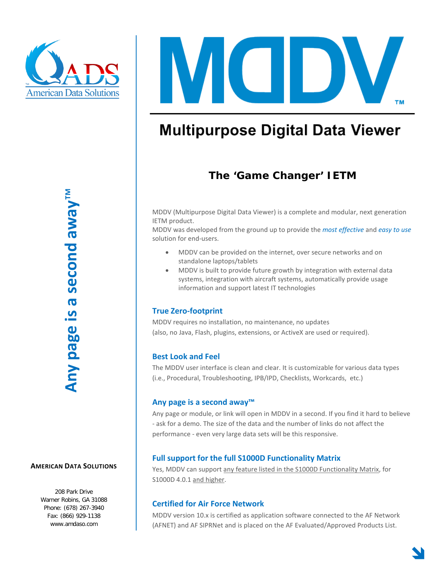

VII **TM** 

# **Multipurpose Digital Data Viewer**

### **The 'Game Changer' IETM**

MDDV (Multipurpose Digital Data Viewer) is a complete and modular, next generation IETM product.

MDDV was developed from the ground up to provide the *most effective* and *easy to use* solution for end-users.

- MDDV can be provided on the internet, over secure networks and on standalone laptops/tablets
- MDDV is built to provide future growth by integration with external data systems, integration with aircraft systems, automatically provide usage information and support latest IT technologies

#### **True Zero-footprint**

MDDV requires no installation, no maintenance, no updates (also, no Java, Flash, plugins, extensions, or ActiveX are used or required).

#### **Best Look and Feel**

The MDDV user interface is clean and clear. It is customizable for various data types (i.e., Procedural, Troubleshooting, IPB/IPD, Checklists, Workcards, etc.)

#### **Any page is a second away™**

Any page or module, or link will open in MDDV in a second. If you find it hard to believe - ask for a demo. The size of the data and the number of links do not affect the performance - even very large data sets will be this responsive.

#### **Full support for the full S1000D Functionality Matrix**

Yes, MDDV can support any feature listed in the S1000D Functionality Matrix, for S1000D 4.0.1 and higher.

#### **Certified for Air Force Network**

MDDV version 10.x is certified as application software connected to the AF Network (AFNET) and AF SIPRNet and is placed on the AF Evaluated/Approved Products List.

208 Park Drive Warner Robins, GA 31088 Phone: (678) 267-3940 Fax: (866) 929-1138 www.amdaso.com